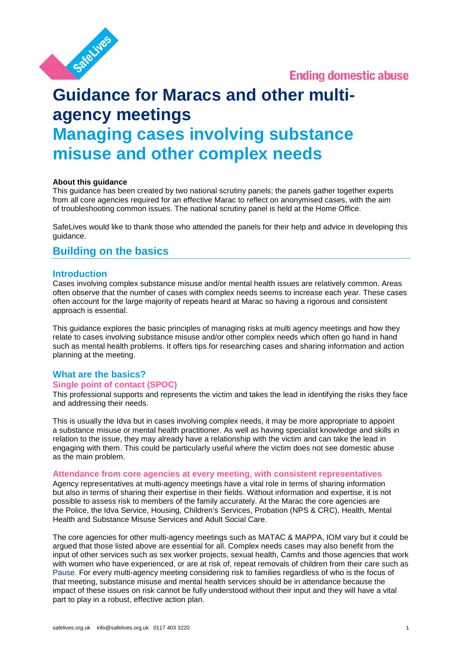

**Ending domestic abuse** 

# **Guidance for Maracs and other multiagency meetings Managing cases involving substance misuse and other complex needs**

# **About this guidance**

This guidance has been created by two national scrutiny panels; the panels gather together experts from all core agencies required for an effective Marac to reflect on anonymised cases, with the aim of troubleshooting common issues. The national scrutiny panel is held at the Home Office.

SafeLives would like to thank those who attended the panels for their help and advice in developing this guidance.

# **Building on the basics**

# **Introduction**

Cases involving complex substance misuse and/or mental health issues are relatively common. Areas often observe that the number of cases with complex needs seems to increase each year. These cases often account for the large majority of repeats heard at Marac so having a rigorous and consistent approach is essential.

This guidance explores the basic principles of managing risks at multi agency meetings and how they relate to cases involving substance misuse and/or other complex needs which often go hand in hand such as mental health problems. It offers tips for researching cases and sharing information and action planning at the meeting.

# **What are the basics?**

# **Single point of contact (SPOC)**

This professional supports and represents the victim and takes the lead in identifying the risks they face and addressing their needs.

This is usually the Idva but in cases involving complex needs, it may be more appropriate to appoint a substance misuse or mental health practitioner. As well as having specialist knowledge and skills in relation to the issue, they may already have a relationship with the victim and can take the lead in engaging with them. This could be particularly useful where the victim does not see domestic abuse as the main problem.

#### **Attendance from core agencies at every meeting, with consistent representatives**

Agency representatives at multi-agency meetings have a vital role in terms of sharing information but also in terms of sharing their expertise in their fields. Without information and expertise, it is not possible to assess risk to members of the family accurately. At the Marac the core agencies are the Police, the Idva Service, Housing, Children's Services, Probation (NPS & CRC), Health, Mental Health and Substance Misuse Services and Adult Social Care.

The core agencies for other multi-agency meetings such as MATAC & MAPPA, IOM vary but it could be argued that those listed above are essential for all. Complex needs cases may also benefit from the input of other services such as sex worker projects, sexual health, Camhs and those agencies that work with women who have experienced, or are at risk of, repeat removals of children from their care such as [Pause.](http://www.pause.org.uk/aboutpause) For every multi-agency meeting considering risk to families regardless of who is the focus of that meeting, substance misuse and mental health services should be in attendance because the impact of these issues on risk cannot be fully understood without their input and they will have a vital part to play in a robust, effective action plan.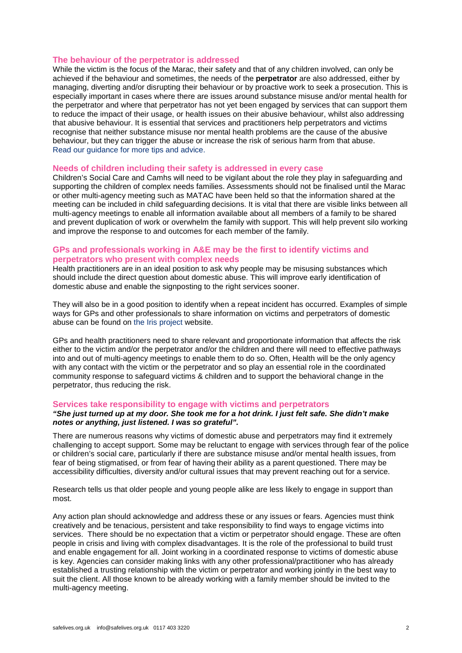#### **The behaviour of the perpetrator is addressed**

While the victim is the focus of the Marac, their safety and that of any children involved, can only be achieved if the behaviour and sometimes, the needs of the **perpetrator** are also addressed, either by managing, diverting and/or disrupting their behaviour or by proactive work to seek a prosecution. This is especially important in cases where there are issues around substance misuse and/or mental health for the perpetrator and where that perpetrator has not yet been engaged by services that can support them to reduce the impact of their usage, or health issues on their abusive behaviour, whilst also addressing that abusive behaviour. It is essential that services and practitioners help perpetrators and victims recognise that neither substance misuse nor mental health problems are the cause of the abusive behaviour, but they can trigger the abuse or increase the risk of serious harm from that abuse. [Read our guidance for more tips and advice.](http://www.safelives.org.uk/sites/default/files/resources/Perpetrator%20guidance%20for%20MARACs%20FINAL.pdf)

#### **Needs of children including their safety is addressed in every case**

Children's Social Care and Camhs will need to be vigilant about the role they play in safeguarding and supporting the children of complex needs families. Assessments should not be finalised until the Marac or other multi-agency meeting such as MATAC have been held so that the information shared at the meeting can be included in child safeguarding decisions. It is vital that there are visible links between all multi-agency meetings to enable all information available about all members of a family to be shared and prevent duplication of work or overwhelm the family with support. This will help prevent silo working and improve the response to and outcomes for each member of the family.

# **GPs and professionals working in A&E may be the first to identify victims and perpetrators who present with complex needs**

Health practitioners are in an ideal position to ask why people may be misusing substances which should include the direct question about domestic abuse. This will improve early identification of domestic abuse and enable the signposting to the right services sooner.

They will also be in a good position to identify when a repeat incident has occurred. Examples of simple ways for GPs and other professionals to share information on victims and perpetrators of domestic abuse can be found on [the Iris project](http://www.irisdomesticviolence.org.uk/iris/) website.

GPs and health practitioners need to share relevant and proportionate information that affects the risk either to the victim and/or the perpetrator and/or the children and there will need to effective pathways into and out of multi-agency meetings to enable them to do so. Often, Health will be the only agency with any contact with the victim or the perpetrator and so play an essential role in the coordinated community response to safeguard victims & children and to support the behavioral change in the perpetrator, thus reducing the risk.

#### **Services take responsibility to engage with victims and perpetrators**

# *"She just turned up at my door. She took me for a hot drink. I just felt safe. She didn't make notes or anything, just listened. I was so grateful".*

There are numerous reasons why victims of domestic abuse and perpetrators may find it extremely challenging to accept support. Some may be reluctant to engage with services through fear of the police or children's social care, particularly if there are substance misuse and/or mental health issues, from fear of being stigmatised, or from fear of having their ability as a parent questioned. There may be accessibility difficulties, diversity and/or cultural issues that may prevent reaching out for a service.

Research tells us that older people and young people alike are less likely to engage in support than most.

Any action plan should acknowledge and address these or any issues or fears. Agencies must think creatively and be tenacious, persistent and take responsibility to find ways to engage victims into services. There should be no expectation that a victim or perpetrator should engage. These are often people in crisis and living with complex disadvantages. It is the role of the professional to build trust and enable engagement for all. Joint working in a coordinated response to victims of domestic abuse is key. Agencies can consider making links with any other professional/practitioner who has already established a trusting relationship with the victim or perpetrator and working jointly in the best way to suit the client. All those known to be already working with a family member should be invited to the multi-agency meeting.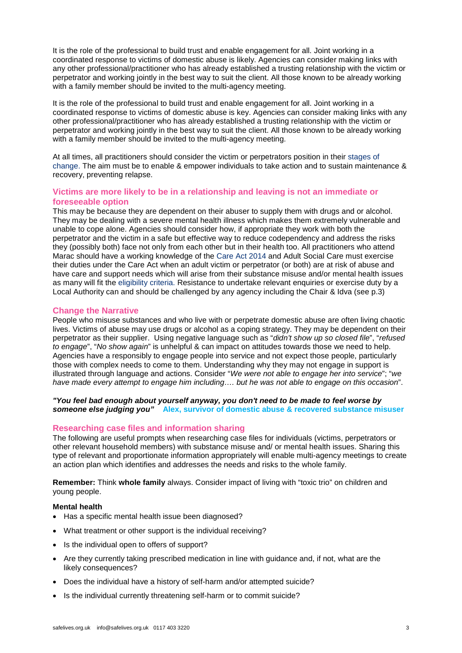It is the role of the professional to build trust and enable engagement for all. Joint working in a coordinated response to victims of domestic abuse is likely. Agencies can consider making links with any other professional/practitioner who has already established a trusting relationship with the victim or perpetrator and working jointly in the best way to suit the client. All those known to be already working with a family member should be invited to the multi-agency meeting.

It is the role of the professional to build trust and enable engagement for all. Joint working in a coordinated response to victims of domestic abuse is key. Agencies can consider making links with any other professional/practitioner who has already established a trusting relationship with the victim or perpetrator and working jointly in the best way to suit the client. All those known to be already working with a family member should be invited to the multi-agency meeting.

At all times, all practitioners should consider the victim or perpetrators position in their [stages of](http://socialworktech.com/2012/01/09/stages-of-change-prochaska-diclemente/)  [change.](http://socialworktech.com/2012/01/09/stages-of-change-prochaska-diclemente/) The aim must be to enable & empower individuals to take action and to sustain maintenance & recovery, preventing relapse.

# **Victims are more likely to be in a relationship and leaving is not an immediate or foreseeable option**

This may be because they are dependent on their abuser to supply them with drugs and or alcohol. They may be dealing with a severe mental health illness which makes them extremely vulnerable and unable to cope alone. Agencies should consider how, if appropriate they work with both the perpetrator and the victim in a safe but effective way to reduce codependency and address the risks they (possibly both) face not only from each other but in their health too. All practitioners who attend Marac should have a working knowledge of the [Care Act 2014](http://www.legislation.gov.uk/ukpga/2014/23/contents/enacted) and Adult Social Care must exercise their duties under the Care Act when an adult victim or perpetrator (or both) are at risk of abuse and have care and support needs which will arise from their substance misuse and/or mental health issues as many will fit the [eligibility criteria.](https://www.scie.org.uk/care-act-2014/assessment-and-eligibility/eligibility/criteria-adults-care.asp) Resistance to undertake relevant enquiries or exercise duty by a Local Authority can and should be challenged by any agency including the Chair & Idva (see p.3)

# **Change the Narrative**

People who misuse substances and who live with or perpetrate domestic abuse are often living chaotic lives. Victims of abuse may use drugs or alcohol as a coping strategy. They may be dependent on their perpetrator as their supplier. Using negative language such as "*didn't show up so closed file*", "*refused to engage*", "*No show again*" is unhelpful & can impact on attitudes towards those we need to help. Agencies have a responsibly to engage people into service and not expect those people, particularly those with complex needs to come to them. Understanding why they may not engage in support is illustrated through language and actions. Consider "*We were not able to engage her into service*"; "*we have made every attempt to engage him including…. but he was not able to engage on this occasion*".

*"You feel bad enough about yourself anyway, you don't need to be made to feel worse by someone else judging you"* **Alex, survivor of domestic abuse & recovered substance misuser**

#### **Researching case files and information sharing**

The following are useful prompts when researching case files for individuals (victims, perpetrators or other relevant household members) with substance misuse and/ or mental health issues. Sharing this type of relevant and proportionate information appropriately will enable multi-agency meetings to create an action plan which identifies and addresses the needs and risks to the whole family.

**Remember:** Think **whole family** always. Consider impact of living with "toxic trio" on children and young people.

#### **Mental health**

- Has a specific mental health issue been diagnosed?
- What treatment or other support is the individual receiving?
- Is the individual open to offers of support?
- Are they currently taking prescribed medication in line with guidance and, if not, what are the likely consequences?
- Does the individual have a history of self-harm and/or attempted suicide?
- Is the individual currently threatening self-harm or to commit suicide?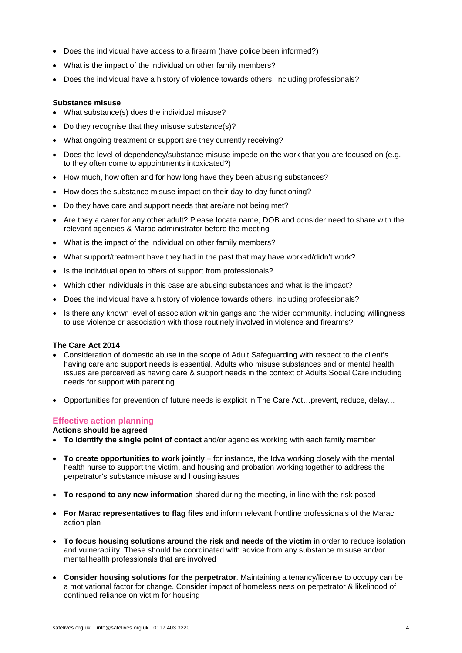- Does the individual have access to a firearm (have police been informed?)
- What is the impact of the individual on other family members?
- Does the individual have a history of violence towards others, including professionals?

#### **Substance misuse**

- What substance(s) does the individual misuse?
- Do they recognise that they misuse substance(s)?
- What ongoing treatment or support are they currently receiving?
- Does the level of dependency/substance misuse impede on the work that you are focused on (e.g. to they often come to appointments intoxicated?)
- How much, how often and for how long have they been abusing substances?
- How does the substance misuse impact on their day-to-day functioning?
- Do they have care and support needs that are/are not being met?
- Are they a carer for any other adult? Please locate name, DOB and consider need to share with the relevant agencies & Marac administrator before the meeting
- What is the impact of the individual on other family members?
- What support/treatment have they had in the past that may have worked/didn't work?
- Is the individual open to offers of support from professionals?
- Which other individuals in this case are abusing substances and what is the impact?
- Does the individual have a history of violence towards others, including professionals?
- Is there any known level of association within gangs and the wider community, including willingness to use violence or association with those routinely involved in violence and firearms?

#### **[The Care Act 2014](https://www.scie.org.uk/care-act-2014/?gclid=EAIaIQobChMIofjl_pLV2gIVjrvtCh0bEwzcEAAYAiAAEgKi-vD_BwE)**

- Consideration of domestic abuse in the scope of Adult Safeguarding with respect to the client's having care and support needs is essential. Adults who misuse substances and or mental health issues are perceived as having care & support needs in the context of Adults Social Care including needs for support with parenting.
- Opportunities for prevention of future needs is explicit in The Care Act…prevent, reduce, delay…

# **Effective action planning**

**Actions should be agreed**

- **To identify the single point of contact** and/or agencies working with each family member
- **To create opportunities to work jointly**  for instance, the Idva working closely with the mental health nurse to support the victim, and housing and probation working together to address the perpetrator's substance misuse and housing issues
- **To respond to any new information** shared during the meeting, in line with the risk posed
- **For Marac representatives to flag files** and inform relevant frontline professionals of the Marac action plan
- **To focus housing solutions around the risk and needs of the victim** in order to reduce isolation and vulnerability. These should be coordinated with advice from any substance misuse and/or mental health professionals that are involved
- **Consider housing solutions for the perpetrator**. Maintaining a tenancy/license to occupy can be a motivational factor for change. Consider impact of homeless ness on perpetrator & likelihood of continued reliance on victim for housing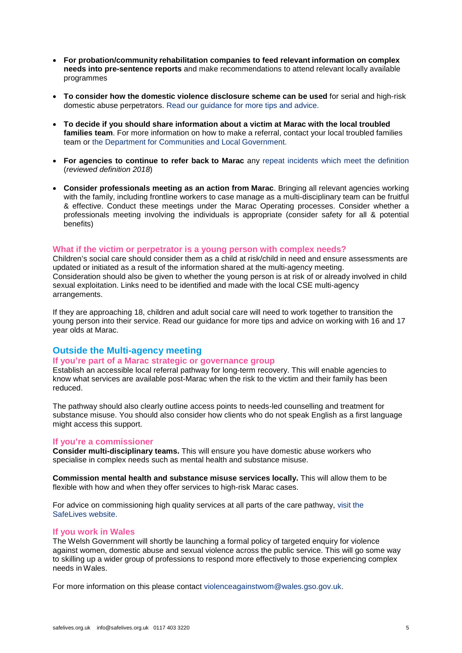- **For probation/community rehabilitation companies to feed relevant information on complex needs into pre-sentence reports** and make recommendations to attend relevant locally available programmes
- **To consider how the domestic violence disclosure scheme can be used** for serial and high-risk domestic abuse perpetrators. [Read our guidance for more tips and](http://www.safelives.org.uk/sites/default/files/resources/DVDS%20guidance%20for%20MARACs%20FINAL.pdf) [advice.](http://www.safelives.org.uk/sites/default/files/resources/DVDS%20guidance%20for%20MARACs%20FINAL.pdf)
- **To decide if you should share information about a victim at Marac with the local troubled families team**. For more information on how to make a referral, contact your local troubled families team or [the Department for Communities](mailto:Families.Team@communities.gsi.gov.uk) and Local [Government.](mailto:Families.Team@communities.gsi.gov.uk)
- **For agencies to continue to refer back to Marac** any [repeat incidents which meet the](http://www.safelives.org.uk/definition-repeat-marac) [definition](http://www.safelives.org.uk/definition-repeat-marac) (*reviewed definition 2018*)
- **Consider professionals meeting as an action from Marac**. Bringing all relevant agencies working with the family, including frontline workers to case manage as a multi-disciplinary team can be fruitful & effective. Conduct these meetings under the Marac Operating processes. Consider whether a professionals meeting involving the individuals is appropriate (consider safety for all & potential benefits)

#### **What if the victim or perpetrator is a young person with complex needs?**

Children's social care should consider them as a child at risk/child in need and ensure assessments are updated or initiated as a result of the information shared at the multi-agency meeting. Consideration should also be given to whether the young person is at risk of or already involved in child sexual exploitation. Links need to be identified and made with the local CSE multi-agency arrangements.

If they are approaching 18, children and adult social care will need to work together to transition the young person into their service. [Read our guidance for more tips and advice on](http://www.safelives.org.uk/sites/default/files/resources/Supporting%2016%20%26%2017%20year%20olds%20-%20MARAC%20FINAL_0.pdf) [working with 16 and 17](http://www.safelives.org.uk/sites/default/files/resources/Supporting%2016%20%26%2017%20year%20olds%20-%20MARAC%20FINAL_0.pdf)  [year olds at Marac.](http://www.safelives.org.uk/sites/default/files/resources/Supporting%2016%20%26%2017%20year%20olds%20-%20MARAC%20FINAL_0.pdf)

# **Outside the Multi-agency meeting**

# **If you're part of a Marac strategic or governance group**

Establish an accessible local referral pathway for long-term recovery. This will enable agencies to know what services are available post-Marac when the risk to the victim and their family has been reduced.

The pathway should also clearly outline access points to needs-led counselling and treatment for substance misuse. You should also consider how clients who do not speak English as a first language might access this support.

#### **If you're a commissioner**

**Consider multi-disciplinary teams.** This will ensure you have domestic abuse workers who specialise in complex needs such as mental health and substance misuse.

**Commission mental health and substance misuse services locally.** This will allow them to be flexible with how and when they offer services to high-risk Marac cases.

For advice on commissioning high quality services at all parts of the care pathway, [visit](http://www.safelives.org.uk/commissioning-support) [the](http://www.safelives.org.uk/commissioning-support)  [SafeLives website.](http://www.safelives.org.uk/commissioning-support)

#### **If you work in Wales**

The Welsh Government will shortly be launching a formal policy of targeted enquiry for violence against women, domestic abuse and sexual violence across the public service. This will go some way to skilling up a wider group of professions to respond more effectively to those experiencing complex needs in Wales.

For more information on this please contact [violenceagainstwom@wales.gso.gov.uk.](mailto:violenceagainstwom@wales.gso.gov.uk)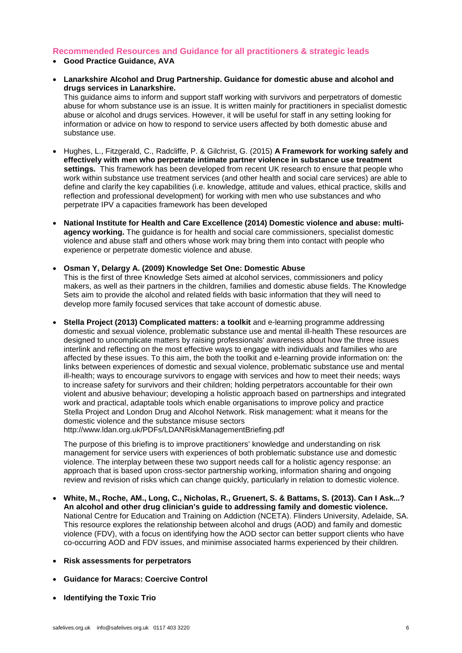# **Recommended Resources and Guidance for all practitioners & strategic leads**

- **Good Practice Guidance, AVA**
- **[Lanarkshire Alcohol and Drug Partnership. Guidance for domestic abuse and alcohol and](http://www.lanarkshireadp.org/ResourcesLinks/Professional/DomesticAbuse/Docum%20ents/DomesticAbuseResource.pdf)  [drugs services in Lanarkshire.](http://www.lanarkshireadp.org/ResourcesLinks/Professional/DomesticAbuse/Docum%20ents/DomesticAbuseResource.pdf)**

This guidance aims to inform and support staff working with survivors and perpetrators of domestic abuse for whom substance use is an issue. It is written mainly for practitioners in specialist domestic abuse or alcohol and drugs services. However, it will be useful for staff in any setting looking for information or advice on how to respond to service users affected by both domestic abuse and substance use.

- Hughes, L., Fitzgerald, C., Radcliffe, P. & Gilchrist, G. (2015) **[A Framework for working safely and](http://www.kcl.ac.uk/ioppn/depts/addictions/research/drugs/project-outputs.aspx)  [effectively with men who perpetrate intimate partner violence in substance use treatment](http://www.kcl.ac.uk/ioppn/depts/addictions/research/drugs/project-outputs.aspx)  [settings.](http://www.kcl.ac.uk/ioppn/depts/addictions/research/drugs/project-outputs.aspx)** This framework has been developed from recent UK research to ensure that people who work within substance use treatment services (and other health and social care services) are able to define and clarify the key capabilities (i.e. knowledge, attitude and values, ethical practice, skills and reflection and professional development) for working with men who use substances and who perpetrate IPV a capacities framework has been developed
- **[National Institute for Health and Care Excellence \(2014\) Domestic](https://www.nice.org.uk/guidance/ph50/resources) violence and abuse: multi[agency working.](https://www.nice.org.uk/guidance/ph50/resources)** The guidance is for health and social care commissioners, specialist domestic violence and abuse staff and others whose work may bring them into contact with people who experience or perpetrate domestic violence and abuse.
- **[Osman Y, Delargy A. \(2009\) Knowledge Set One: Domestic Abuse](http://www.alcoholconcern.org.uk/wpcontent/uploads/woocommerce_uploads/2014/10/Knowledge-set-1.pdf)**  This is the first of three Knowledge Sets aimed at alcohol services, commissioners and policy makers, as well as their partners in the children, families and domestic abuse fields. The Knowledge Sets aim to provide the alcohol and related fields with basic information that they will need to develop more family focused services that take account of domestic abuse.
- **[Stella Project \(2013\) Complicated matters: a toolkit](http://www.avaproject.org.uk/our-resources/good-practice-guidance-toolkits/complicated-matters-stella-project-toolkit-and-e-learning-(2013).aspx)** and e-learning programme addressing domestic and sexual violence, problematic substance use and mental ill-health These resources are designed to uncomplicate matters by raising professionals' awareness about how the three issues interlink and reflecting on the most effective ways to engage with individuals and families who are affected by these issues. To this aim, the both the toolkit and e-learning provide information on: the links between experiences of domestic and sexual violence, problematic substance use and mental ill-health; ways to encourage survivors to engage with services and how to meet their needs; ways to increase safety for survivors and their children; holding perpetrators accountable for their own violent and abusive behaviour; developing a holistic approach based on partnerships and integrated work and practical, adaptable tools which enable organisations to improve policy and practice. • Stella Project and London Drug and Alcohol Network. Risk management: what it means for the domestic violence and the substance misuse sectors <http://www.ldan.org.uk/PDFs/LDANRiskManagementBriefing.pdf>

• The purpose of this briefing is to improve practitioners' knowledge and understanding on risk management for service users with experiences of both problematic substance use and domestic violence. The interplay between these two support needs call for a holistic agency response: an approach that is based upon cross-sector partnership working, information sharing and ongoing review and revision of risks which can change quickly, particularly in relation to domestic violence.

- **[White, M., Roche, AM., Long, C., Nicholas, R., Gruenert, S. & Battams, S. \(2013\). Can I Ask...?](http://nceta.flinders.edu.au/files/2713/6615/8232/EN488_2013_White.pdf)  [An alcohol and other drug clinician's guide to addressing family and domestic violence.](http://nceta.flinders.edu.au/files/2713/6615/8232/EN488_2013_White.pdf)** National Centre for Education and Training on Addiction (NCETA). Flinders University, Adelaide, SA. This resource explores the relationship between alcohol and drugs (AOD) and family and domestic violence (FDV), with a focus on identifying how the AOD sector can better support clients who have co-occurring AOD and FDV issues, and minimise associated harms experienced by their children.
- **Risk assessments for perpetrators**
- **Guidance for Maracs: Coercive Control**
- **Identifying the Toxic Trio**